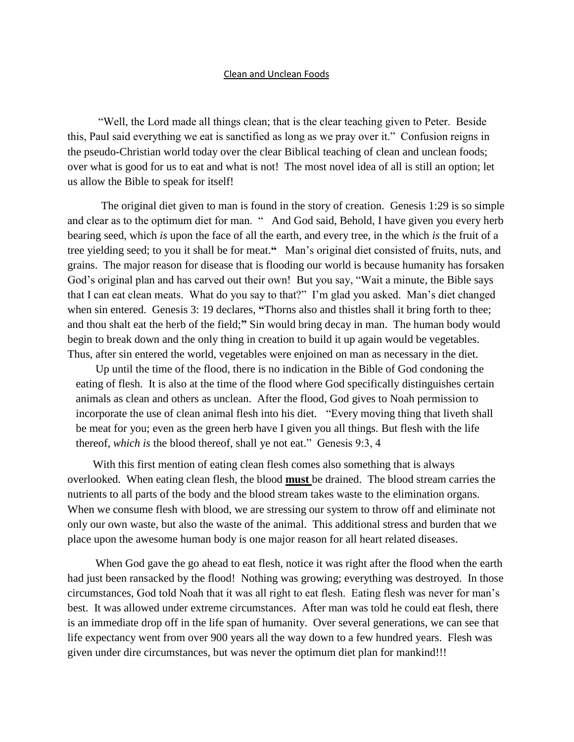## Clean and Unclean Foods

 "Well, the Lord made all things clean; that is the clear teaching given to Peter. Beside this, Paul said everything we eat is sanctified as long as we pray over it." Confusion reigns in the pseudo-Christian world today over the clear Biblical teaching of clean and unclean foods; over what is good for us to eat and what is not! The most novel idea of all is still an option; let us allow the Bible to speak for itself!

 The original diet given to man is found in the story of creation. Genesis 1:29 is so simple and clear as to the optimum diet for man. " And God said, Behold, I have given you every herb bearing seed, which *is* upon the face of all the earth, and every tree, in the which *is* the fruit of a tree yielding seed; to you it shall be for meat.**"** Man's original diet consisted of fruits, nuts, and grains. The major reason for disease that is flooding our world is because humanity has forsaken God's original plan and has carved out their own! But you say, "Wait a minute, the Bible says that I can eat clean meats. What do you say to that?" I'm glad you asked. Man's diet changed when sin entered. Genesis 3: 19 declares, "Thorns also and thistles shall it bring forth to thee; and thou shalt eat the herb of the field;**"** Sin would bring decay in man. The human body would begin to break down and the only thing in creation to build it up again would be vegetables. Thus, after sin entered the world, vegetables were enjoined on man as necessary in the diet.

 Up until the time of the flood, there is no indication in the Bible of God condoning the eating of flesh. It is also at the time of the flood where God specifically distinguishes certain animals as clean and others as unclean. After the flood, God gives to Noah permission to incorporate the use of clean animal flesh into his diet. ["Every moving thing that liveth shall](http://www.kingjamesbibleonline.org/Genesis-9-3/)  [be meat for you; even as the green herb](http://www.kingjamesbibleonline.org/Genesis-9-3/) have I given you all things. [But flesh with the life](http://www.kingjamesbibleonline.org/Genesis-9-4/)  thereof, *which is* [the blood thereof, shall ye not eat."](http://www.kingjamesbibleonline.org/Genesis-9-4/) Genesis 9:3, 4

 With this first mention of eating clean flesh comes also something that is always overlooked. When eating clean flesh, the blood **must** be drained. The blood stream carries the nutrients to all parts of the body and the blood stream takes waste to the elimination organs. When we consume flesh with blood, we are stressing our system to throw off and eliminate not only our own waste, but also the waste of the animal. This additional stress and burden that we place upon the awesome human body is one major reason for all heart related diseases.

 When God gave the go ahead to eat flesh, notice it was right after the flood when the earth had just been ransacked by the flood! Nothing was growing; everything was destroyed. In those circumstances, God told Noah that it was all right to eat flesh. Eating flesh was never for man's best. It was allowed under extreme circumstances. After man was told he could eat flesh, there is an immediate drop off in the life span of humanity. Over several generations, we can see that life expectancy went from over 900 years all the way down to a few hundred years. Flesh was given under dire circumstances, but was never the optimum diet plan for mankind!!!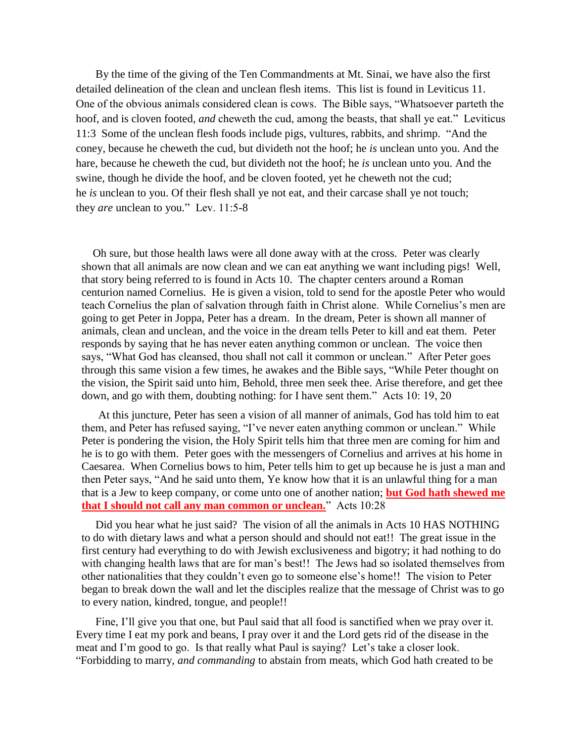By the time of the giving of the Ten Commandments at Mt. Sinai, we have also the first detailed delineation of the clean and unclean flesh items. This list is found in Leviticus 11. One of the obvious animals considered clean is cows. The Bible says, "Whatsoever parteth the hoof, and is cloven footed, *and* cheweth the cud, among the beasts, that shall ye eat." Leviticus 11:3 Some of the unclean flesh foods include pigs, vultures, rabbits, and shrimp. "And the coney, because he cheweth the cud, but divideth not the hoof; he *is* unclean unto you. And the hare, because he cheweth the cud, but divideth not the hoof; he *is* unclean unto you. And the swine, though he divide the hoof, and be cloven footed, yet he cheweth not the cud; he *is* unclean to you. Of their flesh shall ye not eat, and their carcase shall ye not touch; they *are* unclean to you." Lev. 11:5-8

 Oh sure, but those health laws were all done away with at the cross. Peter was clearly shown that all animals are now clean and we can eat anything we want including pigs! Well, that story being referred to is found in Acts 10. The chapter centers around a Roman centurion named Cornelius. He is given a vision, told to send for the apostle Peter who would teach Cornelius the plan of salvation through faith in Christ alone. While Cornelius's men are going to get Peter in Joppa, Peter has a dream. In the dream, Peter is shown all manner of animals, clean and unclean, and the voice in the dream tells Peter to kill and eat them. Peter responds by saying that he has never eaten anything common or unclean. The voice then says, "What God has cleansed, thou shall not call it common or unclean." After Peter goes through this same vision a few times, he awakes and the Bible says, "While Peter thought on the vision, the Spirit said unto him, Behold, three men seek thee. Arise therefore, and get thee down, and go with them, doubting nothing: for I have sent them." Acts 10: 19, 20

 At this juncture, Peter has seen a vision of all manner of animals, God has told him to eat them, and Peter has refused saying, "I've never eaten anything common or unclean." While Peter is pondering the vision, the Holy Spirit tells him that three men are coming for him and he is to go with them. Peter goes with the messengers of Cornelius and arrives at his home in Caesarea. When Cornelius bows to him, Peter tells him to get up because he is just a man and then Peter says, "And he said unto them, Ye know how that it is an unlawful thing for a man that is a Jew to keep company, or come unto one of another nation; **but God hath shewed me that I should not call any man common or unclean.**" Acts 10:28

 Did you hear what he just said? The vision of all the animals in Acts 10 HAS NOTHING to do with dietary laws and what a person should and should not eat!! The great issue in the first century had everything to do with Jewish exclusiveness and bigotry; it had nothing to do with changing health laws that are for man's best!! The Jews had so isolated themselves from other nationalities that they couldn't even go to someone else's home!! The vision to Peter began to break down the wall and let the disciples realize that the message of Christ was to go to every nation, kindred, tongue, and people!!

 Fine, I'll give you that one, but Paul said that all food is sanctified when we pray over it. Every time I eat my pork and beans, I pray over it and the Lord gets rid of the disease in the meat and I'm good to go. Is that really what Paul is saying? Let's take a closer look. "Forbidding to marry, *and commanding* to abstain from meats, which God hath created to be